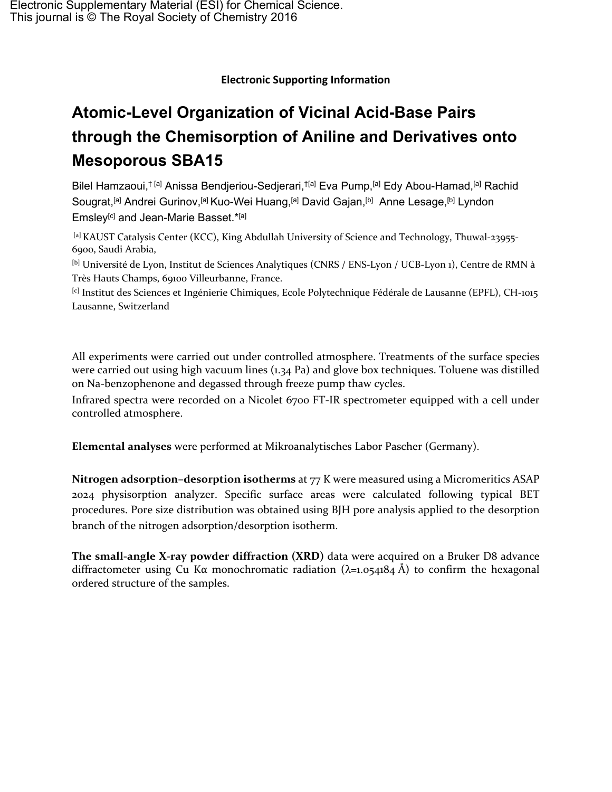## **Electronic Supporting Information**

# **Atomic-Level Organization of Vicinal Acid-Base Pairs through the Chemisorption of Aniline and Derivatives onto Mesoporous SBA15**

Bilel Hamzaoui,<sup>† [a]</sup> Anissa Bendjeriou-Sedjerari,<sup>† [a]</sup> Eva Pump,<sup>[a]</sup> Edy Abou-Hamad,<sup>[a]</sup> Rachid Sougrat,<sup>[a]</sup> Andrei Gurinov,<sup>[a]</sup> Kuo-Wei Huang,<sup>[a]</sup> David Gajan,<sup>[b]</sup> Anne Lesage,<sup>[b]</sup> Lyndon Emsley<sup>[c]</sup> and Jean-Marie Basset.\*[a]

[a] KAUST Catalysis Center (KCC), King Abdullah University of Science and Technology, Thuwal-23955-6900, Saudi Arabia,

[b] Université de Lyon, Institut de Sciences Analytiques (CNRS / ENS-Lyon / UCB-Lyon 1), Centre de RMN à Très Hauts Champs, 69100 Villeurbanne, France.

[c] Institut des Sciences et Ingénierie Chimiques, Ecole Polytechnique Fédérale de Lausanne (EPFL), CH-1015 Lausanne, Switzerland

All experiments were carried out under controlled atmosphere. Treatments of the surface species were carried out using high vacuum lines (1.34 Pa) and glove box techniques. Toluene was distilled on Na-benzophenone and degassed through freeze pump thaw cycles.

Infrared spectra were recorded on a Nicolet 6700 FT-IR spectrometer equipped with a cell under controlled atmosphere.

**Elemental analyses** were performed at Mikroanalytisches Labor Pascher (Germany).

**Nitrogen adsorption–desorption isotherms** at 77 K were measured using a Micromeritics ASAP 2024 physisorption analyzer. Specific surface areas were calculated following typical BET procedures. Pore size distribution was obtained using BJH pore analysis applied to the desorption branch of the nitrogen adsorption/desorption isotherm.

**The small-angle X-ray powder diffraction (XRD)** data were acquired on a Bruker D8 advance diffractometer using Cu K $\alpha$  monochromatic radiation ( $\lambda$ =1.054184 Å) to confirm the hexagonal ordered structure of the samples.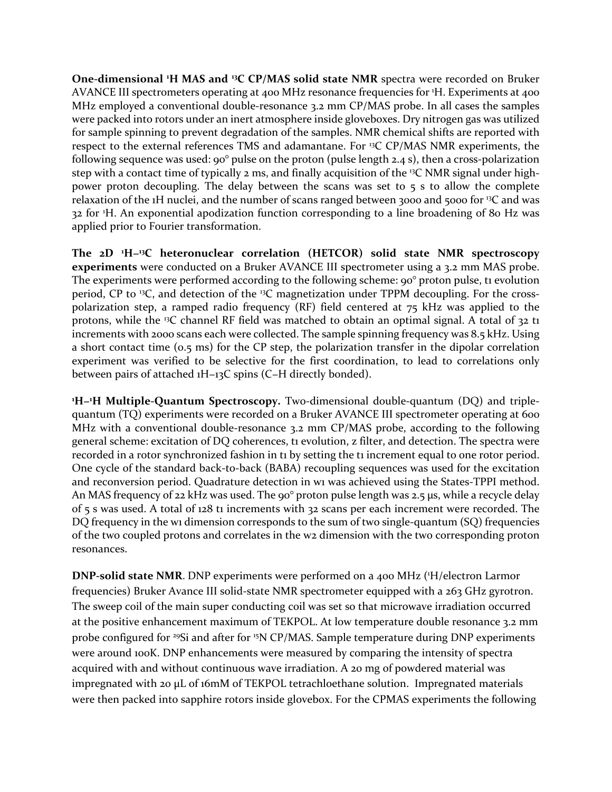**One-dimensional <sup>1</sup>H MAS and <sup>13</sup>C CP/MAS solid state NMR** spectra were recorded on Bruker AVANCE III spectrometers operating at 400 MHz resonance frequencies for <sup>1</sup>H. Experiments at 400 MHz employed a conventional double-resonance 3.2 mm CP/MAS probe. In all cases the samples were packed into rotors under an inert atmosphere inside gloveboxes. Dry nitrogen gas was utilized for sample spinning to prevent degradation of the samples. NMR chemical shifts are reported with respect to the external references TMS and adamantane. For <sup>13</sup>C CP/MAS NMR experiments, the following sequence was used: 90° pulse on the proton (pulse length 2.4 s), then a cross-polarization step with a contact time of typically 2 ms, and finally acquisition of the <sup>13</sup>C NMR signal under highpower proton decoupling. The delay between the scans was set to 5 s to allow the complete relaxation of the 1H nuclei, and the number of scans ranged between 3000 and 5000 for <sup>13</sup>C and was 32 for <sup>1</sup>H. An exponential apodization function corresponding to a line broadening of 80 Hz was applied prior to Fourier transformation.

**The 2D <sup>1</sup>H−<sup>13</sup>C heteronuclear correlation (HETCOR) solid state NMR spectroscopy experiments** were conducted on a Bruker AVANCE III spectrometer using a 3.2 mm MAS probe. The experiments were performed according to the following scheme: 90° proton pulse, t1 evolution period, CP to <sup>13</sup>C, and detection of the <sup>13</sup>C magnetization under TPPM decoupling. For the crosspolarization step, a ramped radio frequency (RF) field centered at 75 kHz was applied to the protons, while the <sup>13</sup>C channel RF field was matched to obtain an optimal signal. A total of 32 t1 increments with 2000 scans each were collected. The sample spinning frequency was 8.5 kHz. Using a short contact time (0.5 ms) for the CP step, the polarization transfer in the dipolar correlation experiment was verified to be selective for the first coordination, to lead to correlations only between pairs of attached 1H−13C spins (C−H directly bonded).

**<sup>1</sup>H−<sup>1</sup>H Multiple-Quantum Spectroscopy.** Two-dimensional double-quantum (DQ) and triplequantum (TQ) experiments were recorded on a Bruker AVANCE III spectrometer operating at 600 MHz with a conventional double-resonance 3.2 mm CP/MAS probe, according to the following general scheme: excitation of DQ coherences, t1 evolution, z filter, and detection. The spectra were recorded in a rotor synchronized fashion in ti by setting the ti increment equal to one rotor period. One cycle of the standard back-to-back (BABA) recoupling sequences was used for the excitation and reconversion period. Quadrature detection in w1 was achieved using the States-TPPI method. An MAS frequency of 22 kHz was used. The 90° proton pulse length was 2.5 μs, while a recycle delay of 5 s was used. A total of 128 t1 increments with 32 scans per each increment were recorded. The DQ frequency in the w1 dimension corresponds to the sum of two single-quantum (SQ) frequencies of the two coupled protons and correlates in the w2 dimension with the two corresponding proton resonances.

**DNP-solid state NMR**. DNP experiments were performed on a 400 MHz ( <sup>1</sup>H/electron Larmor frequencies) Bruker Avance III solid-state NMR spectrometer equipped with a 263 GHz gyrotron. The sweep coil of the main super conducting coil was set so that microwave irradiation occurred at the positive enhancement maximum of TEKPOL. At low temperature double resonance 3.2 mm probe configured for <sup>29</sup>Si and after for <sup>15</sup>N CP/MAS. Sample temperature during DNP experiments were around 100K. DNP enhancements were measured by comparing the intensity of spectra acquired with and without continuous wave irradiation. A 20 mg of powdered material was impregnated with 20 μL of 16mM of TEKPOL tetrachloethane solution. Impregnated materials were then packed into sapphire rotors inside glovebox. For the CPMAS experiments the following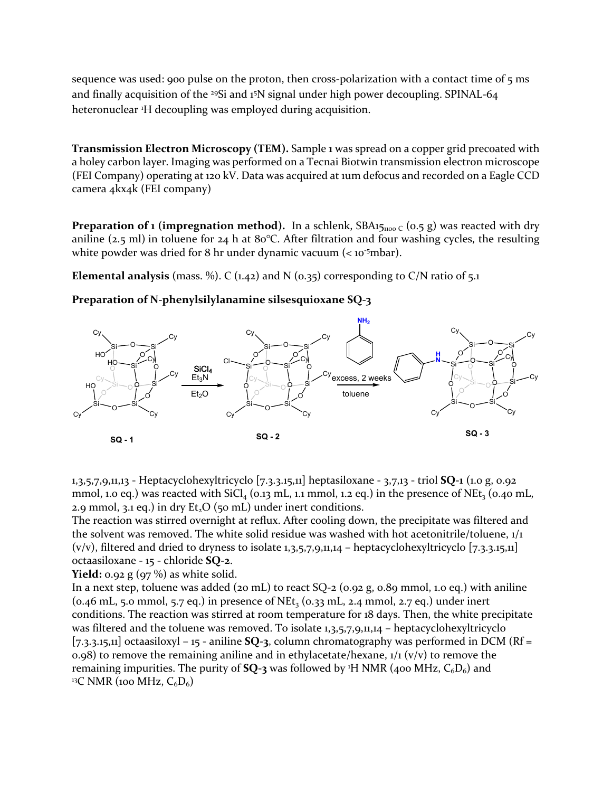sequence was used: 900 pulse on the proton, then cross-polarization with a contact time of 5 ms and finally acquisition of the <sup>29</sup>Si and 1<sup>5</sup>N signal under high power decoupling. SPINAL-64 heteronuclear <sup>1</sup>H decoupling was employed during acquisition.

**Transmission Electron Microscopy (TEM).** Sample **1** was spread on a copper grid precoated with a holey carbon layer. Imaging was performed on a Tecnai Biotwin transmission electron microscope (FEI Company) operating at 120 kV. Data was acquired at 1um defocus and recorded on a Eagle CCD camera 4kx4k (FEI company)

**Preparation of <b>1** (impregnation method). In a schlenk,  $SBA15_{1100}$  c (0.5 g) was reacted with dry aniline (2.5 ml) in toluene for 24 h at 80°C. After filtration and four washing cycles, the resulting white powder was dried for 8 hr under dynamic vacuum (< 10<sup>-5</sup>mbar).

**Elemental analysis** (mass. %). C  $(1.42)$  and N  $(0.35)$  corresponding to C/N ratio of 5.1

### **Preparation of N-phenylsilylanamine silsesquioxane SQ-3**



1,3,5,7,9,11,13 - Heptacyclohexyltricyclo [7.3.3.15,11] heptasiloxane - 3,7,13 - triol **SQ-1** (1.0 g, 0.92 mmol, 1.0 eq.) was reacted with  $SiCl<sub>4</sub>$  (0.13 mL, 1.1 mmol, 1.2 eq.) in the presence of NEt<sub>3</sub> (0.40 mL, 2.9 mmol, 3.1 eq.) in dry  $Et<sub>2</sub>O$  (50 mL) under inert conditions.

The reaction was stirred overnight at reflux. After cooling down, the precipitate was filtered and the solvent was removed. The white solid residue was washed with hot acetonitrile/toluene,  $1/1$  $(v/v)$ , filtered and dried to dryness to isolate 1,3,5,7,9,11,14 – heptacyclohexyltricyclo [7.3.3.15,11] octaasiloxane - 15 - chloride **SQ-2**.

**Yield:** 0.92 g (97 %) as white solid.

In a next step, toluene was added (20 mL) to react  $SQ$ -2 (0.92 g, 0.89 mmol, 1.0 eq.) with aniline  $(0.46 \text{ mL}, 5.0 \text{ mmol}, 5.7 \text{ eq.})$  in presence of NEt<sub>3</sub> ( $0.33 \text{ mL}, 2.4 \text{ mmol}, 2.7 \text{ eq.})$  under inert conditions. The reaction was stirred at room temperature for 18 days. Then, the white precipitate was filtered and the toluene was removed. To isolate 1,3,5,7,9,11,14 – heptacyclohexyltricyclo [7.3.3.15,11] octaasiloxyl – 15 - aniline **SQ-3**, column chromatography was performed in DCM (Rf = 0.98) to remove the remaining aniline and in ethylacetate/hexane,  $1/1$  (v/v) to remove the remaining impurities. The purity of  $SQ$ -3 was followed by <sup>1</sup>H NMR (400 MHz,  $C_6D_6$ ) and <sup>13</sup>C NMR (100 MHz,  $C_6D_6$ )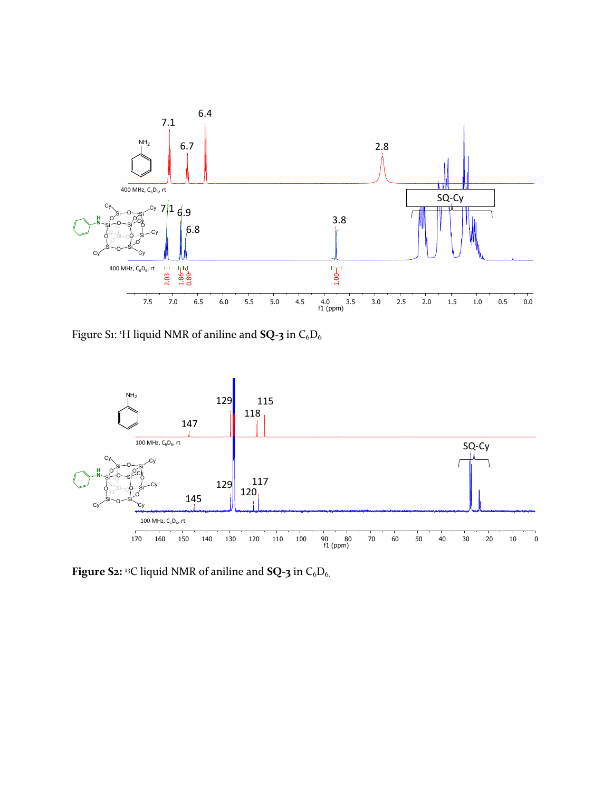

Figure S1: <sup>1</sup>H liquid NMR of aniline and **SQ-3** in C<sub>6</sub>D<sub>6</sub>



**Figure S2:** <sup>13</sup>C liquid NMR of aniline and **SQ-3** in C<sub>6</sub>D<sub>6.</sub>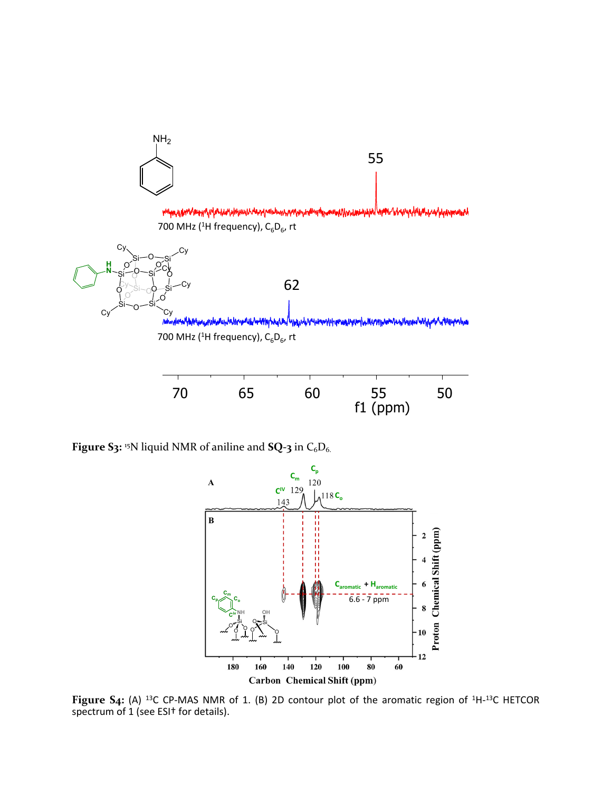

**Figure S3:** <sup>15</sup>N liquid NMR of aniline and **SQ-3** in C<sub>6</sub>D<sub>6.</sub>



**Figure S4:** (A) <sup>13</sup>C CP-MAS NMR of 1. (B) 2D contour plot of the aromatic region of <sup>1</sup>H-<sup>13</sup>C HETCOR spectrum of 1 (see ESI† for details).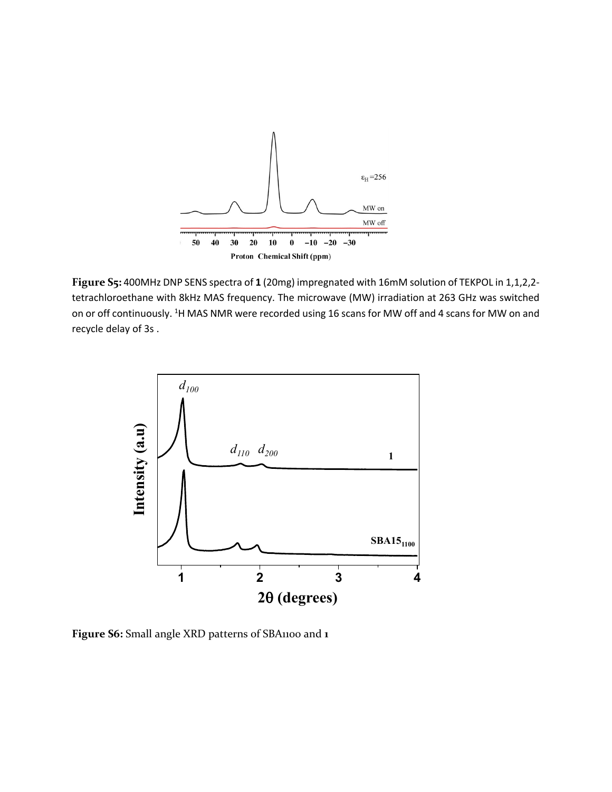

**Figure S5:** 400MHz DNP SENS spectra of **1** (20mg) impregnated with 16mM solution of TEKPOL in 1,1,2,2 tetrachloroethane with 8kHz MAS frequency. The microwave (MW) irradiation at 263 GHz was switched on or off continuously. <sup>1</sup>H MAS NMR were recorded using 16 scans for MW off and 4 scans for MW on and recycle delay of 3s .



**Figure S6:** Small angle XRD patterns of SBA1100 and **1**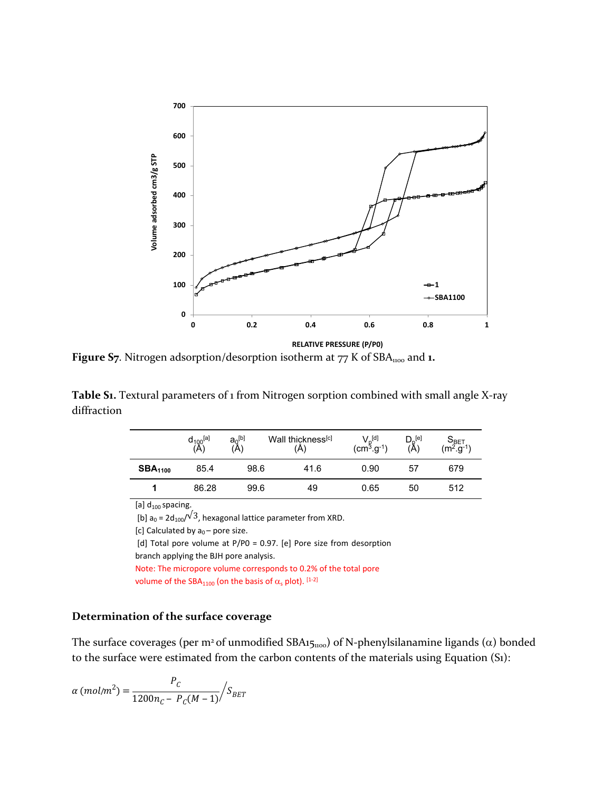

**Figure S7**. Nitrogen adsorption/desorption isotherm at 77 K of SBA<sub>1100</sub> and **1.** 

**Table S1.** Textural parameters of 1 from Nitrogen sorption combined with small angle X-ray diffraction

|                     | $d_{100}^{[a]}$<br>(A) | $a_0^{[b]}$<br>'A) | Wall thickness <sup>[c]</sup><br>(Å) | $V_{\mathsf{p}}^{[\mathsf{d}]}\ (\mathsf{cm}^3.\mathsf{g}^{\text{-}1})$ | $D_{\varrho}$ <sup>[e]</sup><br>(A) | $S_{\mathsf{BET}}$ (m <sup>2</sup> .g <sup>-1</sup> ) |
|---------------------|------------------------|--------------------|--------------------------------------|-------------------------------------------------------------------------|-------------------------------------|-------------------------------------------------------|
| SBA <sub>1100</sub> | 85.4                   | 98.6               | 41.6                                 | 0.90                                                                    | 57                                  | 679                                                   |
|                     | 86.28                  | 99.6               | 49                                   | 0.65                                                                    | 50                                  | 512                                                   |

[a]  $d_{100}$  spacing.

[b]  $a_0 = 2d_{100}/\sqrt{3}$ , hexagonal lattice parameter from XRD.

```
[c] Calculated by a_0 – pore size.
```
[d] Total pore volume at P/P0 = 0.97. [e] Pore size from desorption

```
branch applying the BJH pore analysis.
```
Note: The micropore volume corresponds to 0.2% of the total pore volume of the SBA<sub>1100</sub> (on the basis of  $\alpha_s$  plot). [1-2]

#### **Determination of the surface coverage**

The surface coverages (per m<sup>2</sup> of unmodified SBA151100) of N-phenylsilanamine ligands ( $\alpha$ ) bonded to the surface were estimated from the carbon contents of the materials using Equation (S1):

$$
\alpha \ (mol/m^2) = \frac{P_C}{1200n_C - P_C(M-1)} / S_{BET}
$$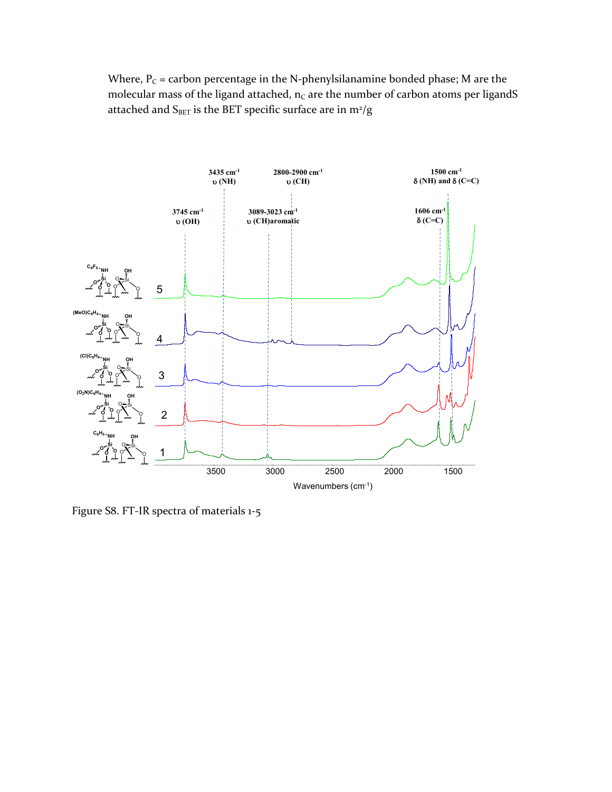Where,  $P_C$  = carbon percentage in the N-phenylsilanamine bonded phase; M are the molecular mass of the ligand attached,  $n_c$  are the number of carbon atoms per ligandS attached and  $\rm S_{BET}$  is the BET specific surface are in m<sup>2</sup>/g



Figure S8. FT-IR spectra of materials 1-5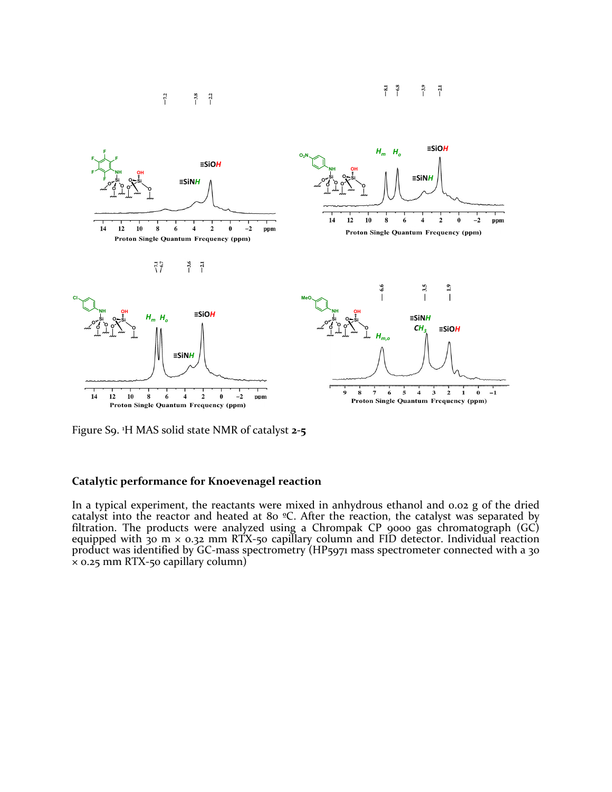



Figure S9. <sup>1</sup>H MAS solid state NMR of catalyst **2-5**

#### **Catalytic performance for Knoevenagel reaction**

In a typical experiment, the reactants were mixed in anhydrous ethanol and 0.02 g of the dried catalyst into the reactor and heated at 80 ºC. After the reaction, the catalyst was separated by filtration. The products were analyzed using a Chrompak CP 9000 gas chromatograph (GC) equipped with 30 m × 0.32 mm RTX-50 capillary column and FID detector. Individual reaction product was identified by GC-mass spectrometry (HP5971 mass spectrometer connected with a 30  $\bar{x}$  0.25 mm RTX-50 capillary column)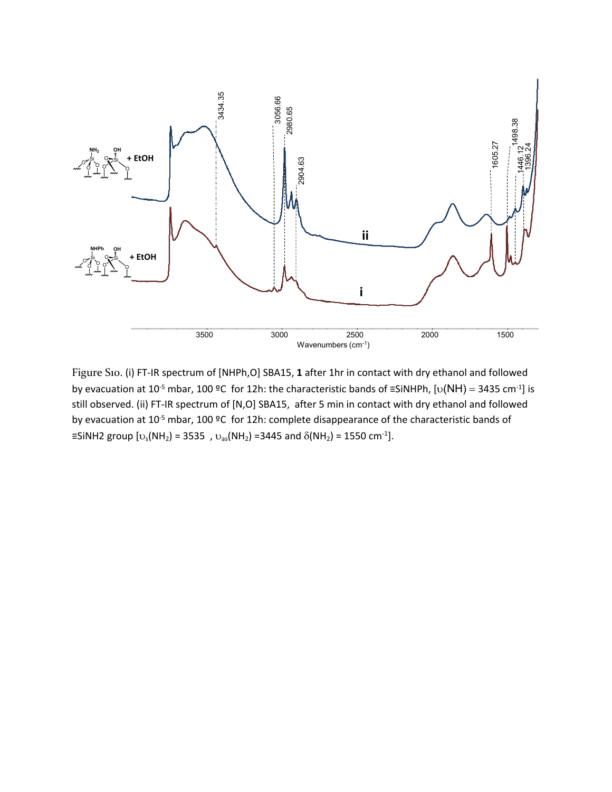

Figure S10. (i) FT-IR spectrum of [NHPh,O] SBA15, **1** after 1hr in contact with dry ethanol and followed by evacuation at 10<sup>-5</sup> mbar, 100 °C for 12h: the characteristic bands of =SiNHPh, [v(NH) = 3435 cm<sup>-1</sup>] is still observed. (ii) FT-IR spectrum of [N,O] SBA15, after 5 min in contact with dry ethanol and followed by evacuation at 10-5 mbar, 100 ºC for 12h: complete disappearance of the characteristic bands of ≡SiNH2 group [ $v_s(NH_2)$  = 3535,  $v_{as}(NH_2)$  =3445 and  $δ(NH_2)$  = 1550 cm<sup>-1</sup>].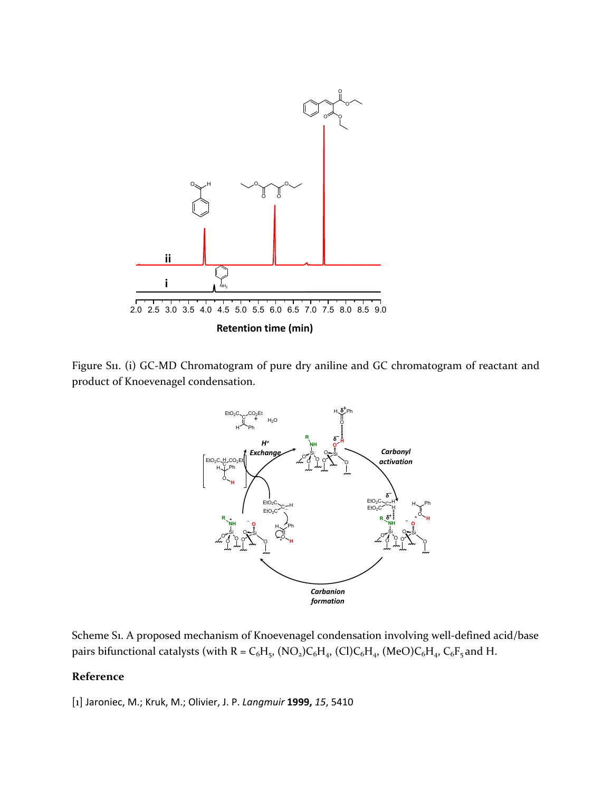

Figure S11. (i) GC-MD Chromatogram of pure dry aniline and GC chromatogram of reactant and product of Knoevenagel condensation.



Scheme S1. A proposed mechanism of Knoevenagel condensation involving well-defined acid/base pairs bifunctional catalysts (with  $R = C_6H_5$ , (NO<sub>2</sub>)C<sub>6</sub>H<sub>4</sub>, (Cl)C<sub>6</sub>H<sub>4</sub>, (MeO)C<sub>6</sub>H<sub>4</sub>, C<sub>6</sub>F<sub>5</sub> and H.

## **Reference**

[1] Jaroniec, M.; Kruk, M.; Olivier, J. P. *Langmuir* **1999,** *15*, 5410